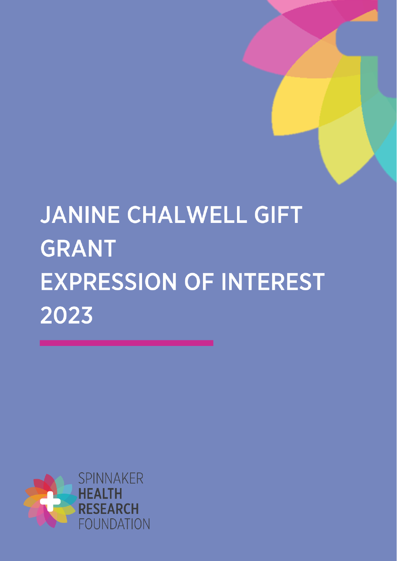# JANINE CHALWELL GIFT **GRANT EXPRESSION OF INTEREST** 2023

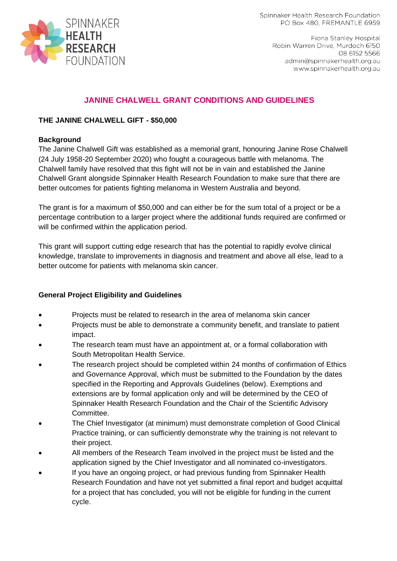

# **JANINE CHALWELL GRANT CONDITIONS AND GUIDELINES**

#### **THE JANINE CHALWELL GIFT - \$50,000**

#### **Background**

The Janine Chalwell Gift was established as a memorial grant, honouring Janine Rose Chalwell (24 July 1958-20 September 2020) who fought a courageous battle with melanoma. The Chalwell family have resolved that this fight will not be in vain and established the Janine Chalwell Grant alongside Spinnaker Health Research Foundation to make sure that there are better outcomes for patients fighting melanoma in Western Australia and beyond.

The grant is for a maximum of \$50,000 and can either be for the sum total of a project or be a percentage contribution to a larger project where the additional funds required are confirmed or will be confirmed within the application period.

This grant will support cutting edge research that has the potential to rapidly evolve clinical knowledge, translate to improvements in diagnosis and treatment and above all else, lead to a better outcome for patients with melanoma skin cancer.

## **General Project Eligibility and Guidelines**

- Projects must be related to research in the area of melanoma skin cancer
- Projects must be able to demonstrate a community benefit, and translate to patient impact.
- The research team must have an appointment at, or a formal collaboration with South Metropolitan Health Service.
- The research project should be completed within 24 months of confirmation of Ethics and Governance Approval, which must be submitted to the Foundation by the dates specified in the Reporting and Approvals Guidelines (below). Exemptions and extensions are by formal application only and will be determined by the CEO of Spinnaker Health Research Foundation and the Chair of the Scientific Advisory Committee.
- The Chief Investigator (at minimum) must demonstrate completion of Good Clinical Practice training, or can sufficiently demonstrate why the training is not relevant to their project.
- All members of the Research Team involved in the project must be listed and the application signed by the Chief Investigator and all nominated co-investigators.
- If you have an ongoing project, or had previous funding from Spinnaker Health Research Foundation and have not yet submitted a final report and budget acquittal for a project that has concluded, you will not be eligible for funding in the current cycle.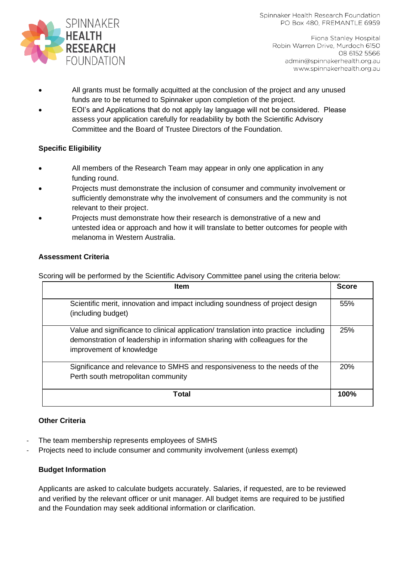

Fiona Stanley Hospital Robin Warren Drive, Murdoch 6150 08 6152 5566 admin@spinnakerhealth.org.au www.spinnakerhealth.org.au

- All grants must be formally acquitted at the conclusion of the project and any unused funds are to be returned to Spinnaker upon completion of the project.
- EOI's and Applications that do not apply lay language will not be considered. Please assess your application carefully for readability by both the Scientific Advisory Committee and the Board of Trustee Directors of the Foundation.

# **Specific Eligibility**

- All members of the Research Team may appear in only one application in any funding round.
- Projects must demonstrate the inclusion of consumer and community involvement or sufficiently demonstrate why the involvement of consumers and the community is not relevant to their project.
- Projects must demonstrate how their research is demonstrative of a new and untested idea or approach and how it will translate to better outcomes for people with melanoma in Western Australia.

# **Assessment Criteria**

Scoring will be performed by the Scientific Advisory Committee panel using the criteria below:

| <b>Item</b>                                                                                                                                                                                   |      |  |
|-----------------------------------------------------------------------------------------------------------------------------------------------------------------------------------------------|------|--|
| Scientific merit, innovation and impact including soundness of project design<br>(including budget)                                                                                           | 55%  |  |
| Value and significance to clinical application/ translation into practice including<br>demonstration of leadership in information sharing with colleagues for the<br>improvement of knowledge | 25%  |  |
| Significance and relevance to SMHS and responsiveness to the needs of the<br>Perth south metropolitan community                                                                               | 20%  |  |
| Total                                                                                                                                                                                         | 100% |  |

## **Other Criteria**

- The team membership represents employees of SMHS
- Projects need to include consumer and community involvement (unless exempt)

## **Budget Information**

Applicants are asked to calculate budgets accurately. Salaries, if requested, are to be reviewed and verified by the relevant officer or unit manager. All budget items are required to be justified and the Foundation may seek additional information or clarification.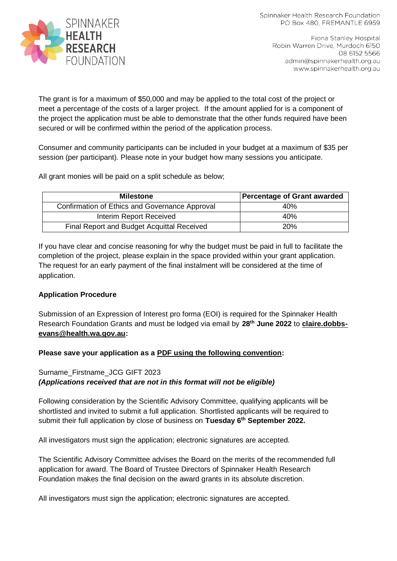

The grant is for a maximum of \$50,000 and may be applied to the total cost of the project or meet a percentage of the costs of a larger project. If the amount applied for is a component of the project the application must be able to demonstrate that the other funds required have been secured or will be confirmed within the period of the application process.

Consumer and community participants can be included in your budget at a maximum of \$35 per session (per participant). Please note in your budget how many sessions you anticipate.

All grant monies will be paid on a split schedule as below;

| <b>Milestone</b>                               | Percentage of Grant awarded |
|------------------------------------------------|-----------------------------|
| Confirmation of Ethics and Governance Approval | 40%                         |
| Interim Report Received                        | 40%                         |
| Final Report and Budget Acquittal Received     | 20%                         |

If you have clear and concise reasoning for why the budget must be paid in full to facilitate the completion of the project, please explain in the space provided within your grant application. The request for an early payment of the final instalment will be considered at the time of application.

## **Application Procedure**

Submission of an Expression of Interest pro forma (EOI) is required for the Spinnaker Health Research Foundation Grants and must be lodged via email by **28th June 2022** to **[claire.dobbs](mailto:claire.dobbs-evans@health.wa.gov.au)[evans@health.wa.gov.au:](mailto:claire.dobbs-evans@health.wa.gov.au)**

## **Please save your application as a PDF using the following convention:**

# Surname\_Firstname\_JCG GIFT 2023 *(Applications received that are not in this format will not be eligible)*

Following consideration by the Scientific Advisory Committee, qualifying applicants will be shortlisted and invited to submit a full application. Shortlisted applicants will be required to submit their full application by close of business on **Tuesday 6th September 2022.**

All investigators must sign the application; electronic signatures are accepted.

The Scientific Advisory Committee advises the Board on the merits of the recommended full application for award. The Board of Trustee Directors of Spinnaker Health Research Foundation makes the final decision on the award grants in its absolute discretion.

All investigators must sign the application; electronic signatures are accepted.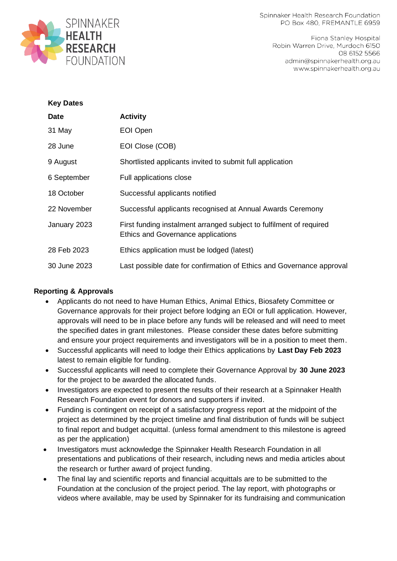

Fiona Stanley Hospital Robin Warren Drive, Murdoch 6150 08 6152 5566 admin@spinnakerhealth.org.au www.spinnakerhealth.org.au

| <b>Key Dates</b> |                                                                                                           |
|------------------|-----------------------------------------------------------------------------------------------------------|
| Date             | <b>Activity</b>                                                                                           |
| 31 May           | EOI Open                                                                                                  |
| 28 June          | EOI Close (COB)                                                                                           |
| 9 August         | Shortlisted applicants invited to submit full application                                                 |
| 6 September      | Full applications close                                                                                   |
| 18 October       | Successful applicants notified                                                                            |
| 22 November      | Successful applicants recognised at Annual Awards Ceremony                                                |
| January 2023     | First funding instalment arranged subject to fulfilment of required<br>Ethics and Governance applications |
| 28 Feb 2023      | Ethics application must be lodged (latest)                                                                |
| 30 June 2023     | Last possible date for confirmation of Ethics and Governance approval                                     |

## **Reporting & Approvals**

- Applicants do not need to have Human Ethics, Animal Ethics, Biosafety Committee or Governance approvals for their project before lodging an EOI or full application. However, approvals will need to be in place before any funds will be released and will need to meet the specified dates in grant milestones. Please consider these dates before submitting and ensure your project requirements and investigators will be in a position to meet them.
- Successful applicants will need to lodge their Ethics applications by **Last Day Feb 2023** latest to remain eligible for funding.
- Successful applicants will need to complete their Governance Approval by **30 June 2023** for the project to be awarded the allocated funds.
- Investigators are expected to present the results of their research at a Spinnaker Health Research Foundation event for donors and supporters if invited.
- Funding is contingent on receipt of a satisfactory progress report at the midpoint of the project as determined by the project timeline and final distribution of funds will be subject to final report and budget acquittal. (unless formal amendment to this milestone is agreed as per the application)
- Investigators must acknowledge the Spinnaker Health Research Foundation in all presentations and publications of their research, including news and media articles about the research or further award of project funding.
- The final lay and scientific reports and financial acquittals are to be submitted to the Foundation at the conclusion of the project period. The lay report, with photographs or videos where available, may be used by Spinnaker for its fundraising and communication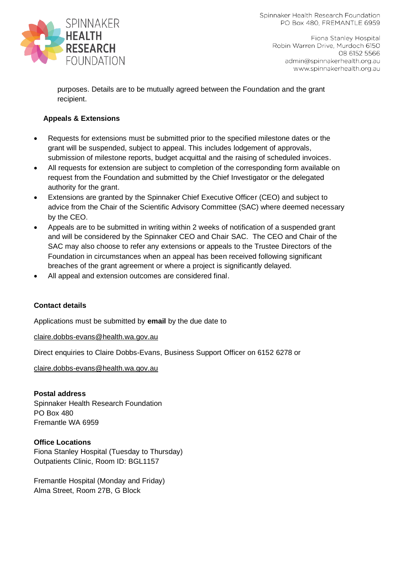

Fiona Stanley Hospital Robin Warren Drive, Murdoch 6150 08 6152 5566 admin@spinnakerhealth.org.au www.spinnakerhealth.org.au

purposes. Details are to be mutually agreed between the Foundation and the grant recipient.

# **Appeals & Extensions**

- Requests for extensions must be submitted prior to the specified milestone dates or the grant will be suspended, subject to appeal. This includes lodgement of approvals, submission of milestone reports, budget acquittal and the raising of scheduled invoices.
- All requests for extension are subject to completion of the corresponding form available on request from the Foundation and submitted by the Chief Investigator or the delegated authority for the grant.
- Extensions are granted by the Spinnaker Chief Executive Officer (CEO) and subject to advice from the Chair of the Scientific Advisory Committee (SAC) where deemed necessary by the CEO.
- Appeals are to be submitted in writing within 2 weeks of notification of a suspended grant and will be considered by the Spinnaker CEO and Chair SAC. The CEO and Chair of the SAC may also choose to refer any extensions or appeals to the Trustee Directors of the Foundation in circumstances when an appeal has been received following significant breaches of the grant agreement or where a project is significantly delayed.
- All appeal and extension outcomes are considered final.

## **Contact details**

Applications must be submitted by **email** by the due date to

[claire.dobbs-evans@health.wa.gov.au](mailto:claire.dobbs-evans@health.wa.gov.au)

Direct enquiries to Claire Dobbs-Evans, Business Support Officer on 6152 6278 or

[claire.dobbs-evans@health.wa.gov.au](mailto:claire.dobbs-evans@health.wa.gov.au)

**Postal address** Spinnaker Health Research Foundation PO Box 480 Fremantle WA 6959

**Office Locations** Fiona Stanley Hospital (Tuesday to Thursday) Outpatients Clinic, Room ID: BGL1157

Fremantle Hospital (Monday and Friday) Alma Street, Room 27B, G Block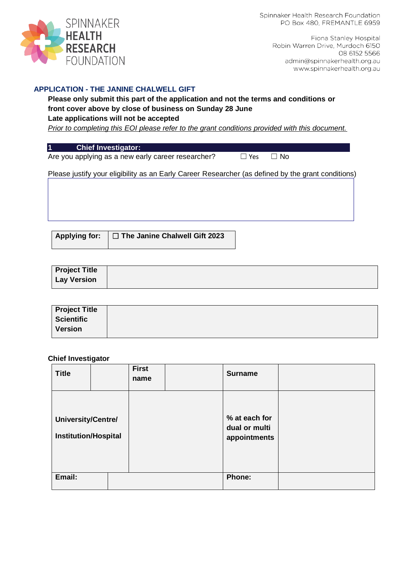

> Fiona Stanley Hospital Robin Warren Drive, Murdoch 6150 08 6152 5566 admin@spinnakerhealth.org.au www.spinnakerhealth.org.au

#### **APPLICATION - THE JANINE CHALWELL GIFT**

# **Please only submit this part of the application and not the terms and conditions or front cover above by close of business on Sunday 28 June**

#### **Late applications will not be accepted**

*Prior to completing this EOI please refer to the grant conditions provided with this document.* 

#### **1 Chief Investigator:**

Are you applying as a new early career researcher? □ Yes □ No

Please justify your eligibility as an Early Career Researcher (as defined by the grant conditions)

**Applying for:** ☐ **The Janine Chalwell Gift 2023**

| <b>Project Title</b> |  |  |
|----------------------|--|--|
| <b>Lay Version</b>   |  |  |

| <b>Project Title</b> |  |
|----------------------|--|
| <b>Scientific</b>    |  |
| <b>Version</b>       |  |

#### **Chief Investigator**

| <b>Title</b>                                      | <b>First</b><br>name | <b>Surname</b>                                 |  |
|---------------------------------------------------|----------------------|------------------------------------------------|--|
| University/Centre/<br><b>Institution/Hospital</b> |                      | % at each for<br>dual or multi<br>appointments |  |
| Email:                                            |                      | <b>Phone:</b>                                  |  |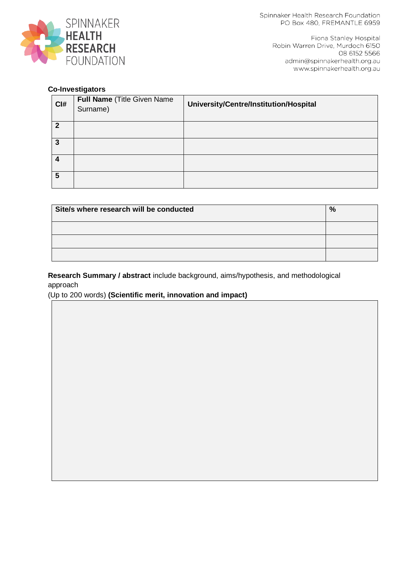

Fiona Stanley Hospital Robin Warren Drive, Murdoch 6150 08 6152 5566 admin@spinnakerhealth.org.au www.spinnakerhealth.org.au

## **Co-Investigators**

| CI#                        | Full Name (Title Given Name<br>Surname) | University/Centre/Institution/Hospital |
|----------------------------|-----------------------------------------|----------------------------------------|
| $\boldsymbol{\mathcal{P}}$ |                                         |                                        |
| 3                          |                                         |                                        |
| 4                          |                                         |                                        |
| 5                          |                                         |                                        |

| Site/s where research will be conducted | $\frac{0}{0}$ |
|-----------------------------------------|---------------|
|                                         |               |
|                                         |               |
|                                         |               |

**Research Summary / abstract** include background, aims/hypothesis, and methodological approach

(Up to 200 words) **(Scientific merit, innovation and impact)**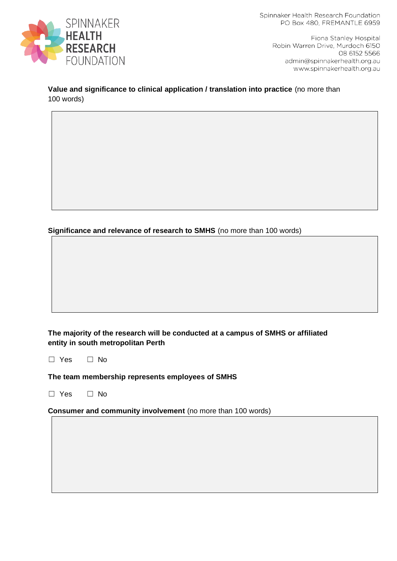

> Fiona Stanley Hospital Robin Warren Drive, Murdoch 6150 08 6152 5566 admin@spinnakerhealth.org.au www.spinnakerhealth.org.au

#### **Value and significance to clinical application / translation into practice** (no more than 100 words)

**Significance and relevance of research to SMHS** (no more than 100 words)

## **The majority of the research will be conducted at a campus of SMHS or affiliated entity in south metropolitan Perth**

☐ Yes ☐ No

#### **The team membership represents employees of SMHS**

☐ Yes ☐ No

**Consumer and community involvement** (no more than 100 words)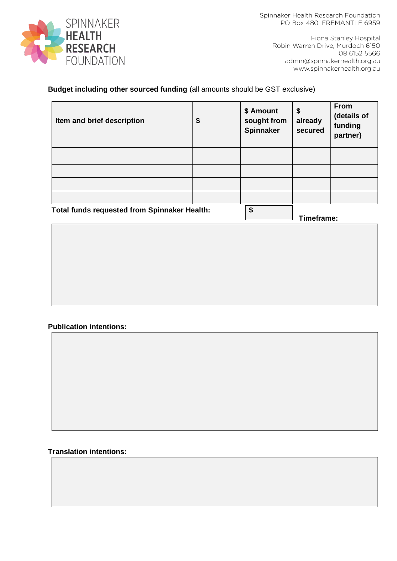

> Fiona Stanley Hospital Robin Warren Drive, Murdoch 6150 08 6152 5566 admin@spinnakerhealth.org.au www.spinnakerhealth.org.au

# **Budget including other sourced funding** (all amounts should be GST exclusive)

| Item and brief description                   | \$<br>\$ Amount<br>sought from<br>Spinnaker | \$<br>already<br>secured | <b>From</b><br>(details of<br>funding<br>partner) |
|----------------------------------------------|---------------------------------------------|--------------------------|---------------------------------------------------|
|                                              |                                             |                          |                                                   |
|                                              |                                             |                          |                                                   |
|                                              |                                             |                          |                                                   |
| Total funds requested from Spinnaker Health: | ፍ                                           |                          |                                                   |

**Total funds requested from Spinnaker Health: \$** 

**Timeframe:** 

## **Publication intentions:**

#### **Translation intentions:**